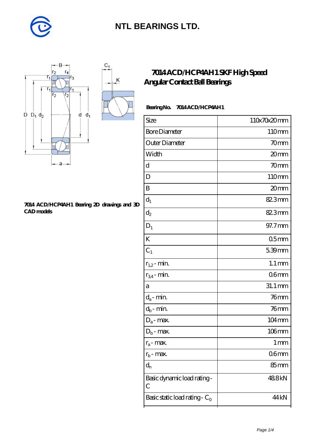



#### **[7014 ACD/HCP4AH1 Bearing 2D drawings and 3D](https://m.diabetesfriends.net/pic-590837.html) [CAD models](https://m.diabetesfriends.net/pic-590837.html)**

### **[7014 ACD/HCP4AH1 SKF High Speed](https://m.diabetesfriends.net/skf-bearing/7014-acd-hcp4ah1.html) [Angular Contact Ball Bearings](https://m.diabetesfriends.net/skf-bearing/7014-acd-hcp4ah1.html)**

### Bearing No. 7014 ACD/HCP4AH1

| Size                                        | 110x70x20mm         |
|---------------------------------------------|---------------------|
| <b>Bore Diameter</b>                        | 110mm               |
| Outer Diameter                              | 70mm                |
| Width                                       | 20mm                |
| $\mathbf d$                                 | 70mm                |
| D                                           | 110mm               |
| B                                           | 20mm                |
| $d_1$                                       | 82.3mm              |
| $\mathrm{d}_2$                              | 82.3mm              |
| $D_1$                                       | 97.7mm              |
| K                                           | 05 <sub>mm</sub>    |
| $C_1$                                       | 5.39mm              |
| $r_{1,2}$ - min.                            | $1.1 \,\mathrm{mm}$ |
| $r_{34}$ - min.                             | 06 <sub>mm</sub>    |
| a                                           | 31.1 mm             |
| $d_a$ - min.                                | $76$ mm             |
| $d_b$ - min.                                | 76 <sub>mm</sub>    |
| $D_a$ - max.                                | $104 \,\mathrm{mm}$ |
| $D_b$ - max.                                | $106$ mm            |
| $r_a$ - max.                                | $1 \, \mathrm{mm}$  |
| $r_{b}$ - max.                              | 06 <sub>mm</sub>    |
| $d_{n}$                                     | 85mm                |
| Basic dynamic load rating-<br>$\mathcal{C}$ | 488kN               |
| Basic static load rating - $C_0$            | 44 kN               |
|                                             |                     |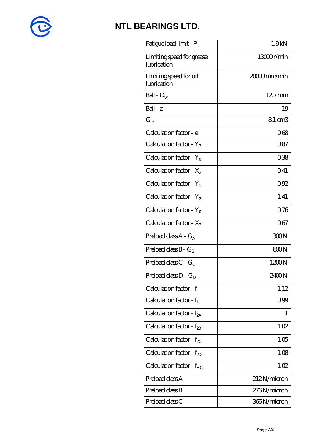

| Fatigue load limit - P <sub>u</sub>      | 1.9 <sub>kN</sub> |
|------------------------------------------|-------------------|
| Limiting speed for grease<br>lubrication | 13000r/min        |
| Limiting speed for oil<br>lubrication    | 20000mm/min       |
| Ball - $D_w$                             | $127$ mm          |
| $Ball - z$                               | 19                |
| $G_{ref}$                                | 8.1 cm3           |
| Calculation factor - e                   | 068               |
| Calculation factor - $Y_2$               | 0.87              |
| Calculation factor - $Y_0$               | 038               |
| Calculation factor - $X_2$               | 041               |
| Calculation factor - $Y_1$               | 092               |
| Calculation factor - $Y_2$               | 1.41              |
| Calculation factor - $Y_0$               | 0.76              |
| Calculation factor - $X_2$               | 067               |
| Preload class $A - G_A$                  | 300N              |
| Preload class $B - G_B$                  | 600N              |
| Preload class C - $G_C$                  | 1200N             |
| Preload class $D - G_D$                  | 2400N             |
| Calculation factor - f                   | 1.12              |
| Calculation factor - $f_1$               | 0.99              |
| Calculation factor - f <sub>2A</sub>     | 1                 |
| Calculation factor - $f_{\rm 2B}$        | 1.02              |
| Calculation factor - $f_{\chi}$          | 1.05              |
| Calculation factor - $f_{2D}$            | 1.08              |
| Calculation factor - $f_{HC}$            | 1.02              |
| Preload class A                          | 212N/micron       |
| Preload class B                          | 276N/micron       |
| Preload class C                          | 366N/micron       |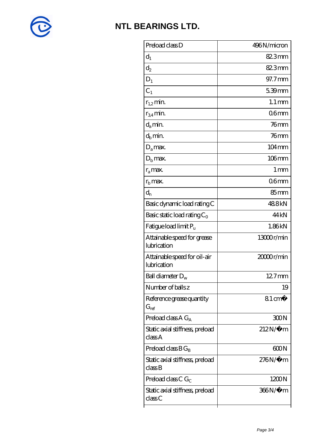

| Preload class D                                          | 496N/micron         |
|----------------------------------------------------------|---------------------|
| $d_1$                                                    | 82.3mm              |
| $d_2$                                                    | 82.3mm              |
| $D_1$                                                    | 97.7mm              |
| $C_1$                                                    | $539$ mm            |
| $r_{1,2}$ min.                                           | $1.1 \,\mathrm{mm}$ |
| $r_{34}$ min.                                            | 06 <sub>mm</sub>    |
| $d_a$ min.                                               | $76$ mm             |
| $d_h$ min.                                               | $76$ mm             |
| $D_a$ max.                                               | $104 \,\mathrm{mm}$ |
| $D_{\rm b}$ max.                                         | $106$ mm            |
| $r_a$ max.                                               | 1 mm                |
| $r_{\rm b}$ max.                                         | 06 <sub>mm</sub>    |
| $\mathrm{d}_{\mathrm{n}}$                                | $85 \text{mm}$      |
| Basic dynamic load rating C                              | 488kN               |
| Basic static load rating $C_0$                           | 44 <sub>kN</sub>    |
| Fatigue load limit P <sub>u</sub>                        | 1.86kN              |
| Attainable speed for grease<br>lubrication               | 13000r/min          |
| Attainable speed for oil-air<br>lubrication              | 20000r/min          |
| Ball diameter $\rm D_w$                                  | 12.7mm              |
| Number of balls z                                        | 19                  |
| Reference grease quantity<br>$\mathrm{G}_{\mathrm{ref}}$ | $81 \text{ cm}^3$   |
| Preload class A $G_A$                                    | 300N                |
| Static axial stiffness, preload<br>classA                | $212N/\mu$ m        |
| Preload class $BG_B$                                     | 600N                |
| Static axial stiffness, preload<br>classB                | $276N/\mu$ m        |
| Preload class C $G_C$                                    | 1200N               |
| Static axial stiffness, preload<br>class C               | 366N/μ m            |
|                                                          |                     |